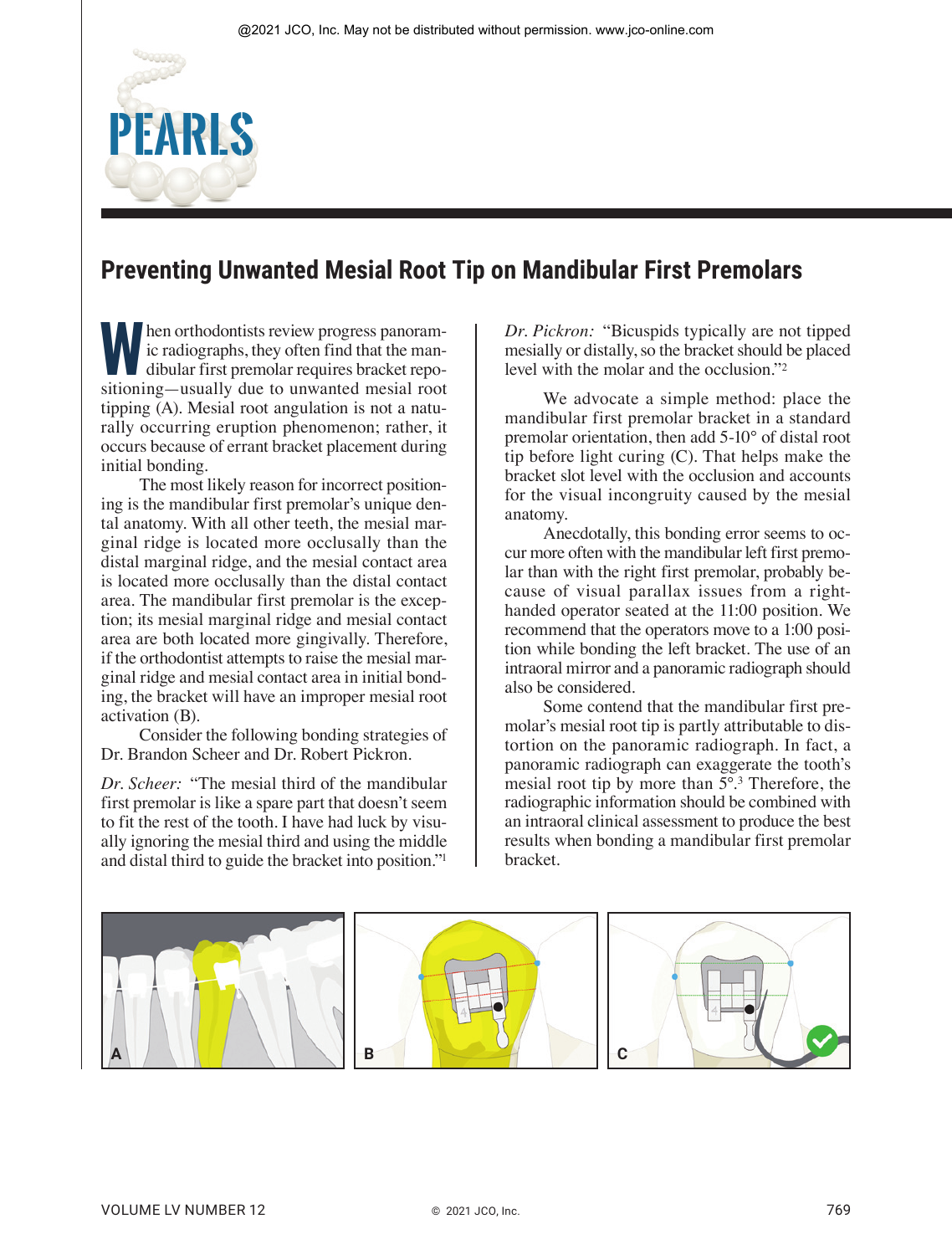## **Preventing Unwanted Mesial Root Tip on Mandibular First Premolars**

**When orthodontists review progress panoram-**<br>
dibular first premolar requires bracket repo-<br>
sitioning—usually due to unwanted mesial root ic radiographs, they often find that the mansitioning—usually due to unwanted mesial root tipping (A). Mesial root angulation is not a naturally occurring eruption phenomenon; rather, it occurs because of errant bracket placement during initial bonding.

**PEARLS**

The most likely reason for incorrect positioning is the mandibular first premolar's unique dental anatomy. With all other teeth, the mesial marginal ridge is located more occlusally than the distal marginal ridge, and the mesial contact area is located more occlusally than the distal contact area. The mandibular first premolar is the exception; its mesial marginal ridge and mesial contact area are both located more gingivally. Therefore, if the orthodontist attempts to raise the mesial marginal ridge and mesial contact area in initial bonding, the bracket will have an improper mesial root activation (B).

Consider the following bonding strategies of Dr. Brandon Scheer and Dr. Robert Pickron.

*Dr. Scheer:* "The mesial third of the mandibular first premolar is like a spare part that doesn't seem to fit the rest of the tooth. I have had luck by visually ignoring the mesial third and using the middle and distal third to guide the bracket into position."1

*Dr. Pickron:* "Bicuspids typically are not tipped mesially or distally, so the bracket should be placed level with the molar and the occlusion."2

We advocate a simple method: place the mandibular first premolar bracket in a standard premolar orientation, then add 5-10° of distal root tip before light curing (C). That helps make the bracket slot level with the occlusion and accounts for the visual incongruity caused by the mesial anatomy.

Anecdotally, this bonding error seems to occur more often with the mandibular left first premolar than with the right first premolar, probably because of visual parallax issues from a righthanded operator seated at the 11:00 position. We recommend that the operators move to a 1:00 position while bonding the left bracket. The use of an intraoral mirror and a panoramic radiograph should also be considered.

Some contend that the mandibular first premolar's mesial root tip is partly attributable to distortion on the panoramic radiograph. In fact, a panoramic radiograph can exaggerate the tooth's mesial root tip by more than 5°.3 Therefore, the radiographic information should be combined with an intraoral clinical assessment to produce the best results when bonding a mandibular first premolar bracket.